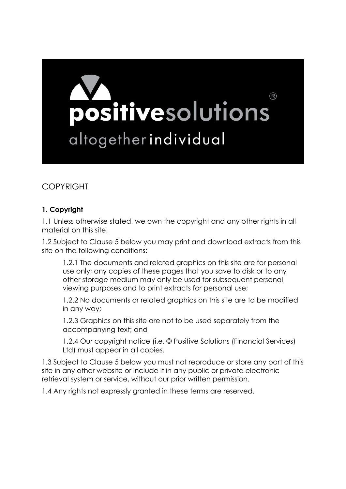

# COPYRIGHT

## **1. Copyright**

1.1 Unless otherwise stated, we own the copyright and any other rights in all material on this site.

1.2 Subject to Clause 5 below you may print and download extracts from this site on the following conditions:

1.2.1 The documents and related graphics on this site are for personal use only; any copies of these pages that you save to disk or to any other storage medium may only be used for subsequent personal viewing purposes and to print extracts for personal use;

1.2.2 No documents or related graphics on this site are to be modified in any way;

1.2.3 Graphics on this site are not to be used separately from the accompanying text; and

1.2.4 Our copyright notice (i.e. © Positive Solutions (Financial Services) Ltd) must appear in all copies.

1.3 Subject to Clause 5 below you must not reproduce or store any part of this site in any other website or include it in any public or private electronic retrieval system or service, without our prior written permission.

1.4 Any rights not expressly granted in these terms are reserved.